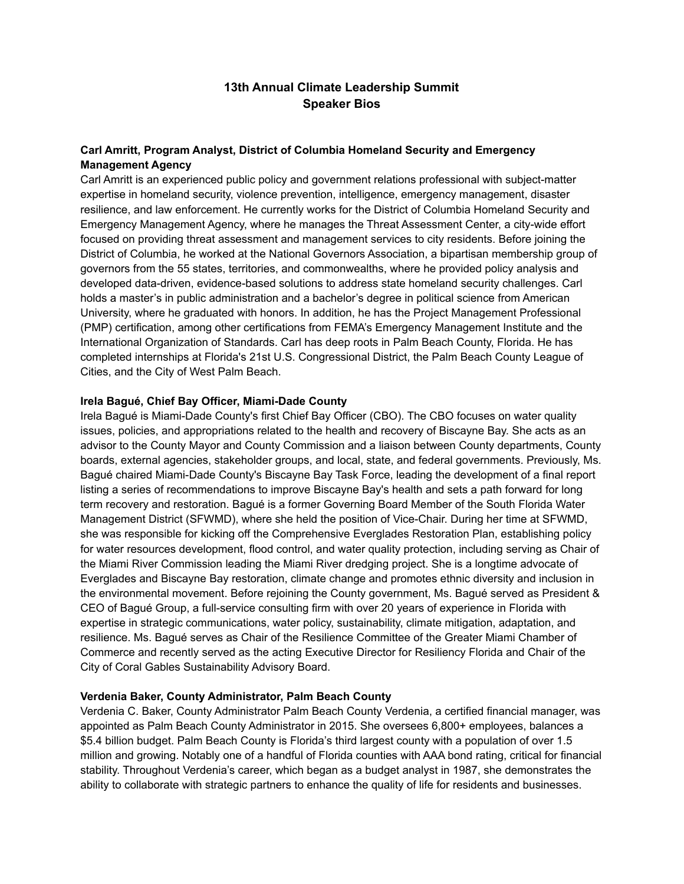# **13th Annual Climate Leadership Summit Speaker Bios**

# **Carl Amritt, Program Analyst, District of Columbia Homeland Security and Emergency Management Agency**

Carl Amritt is an experienced public policy and government relations professional with subject-matter expertise in homeland security, violence prevention, intelligence, emergency management, disaster resilience, and law enforcement. He currently works for the District of Columbia Homeland Security and Emergency Management Agency, where he manages the Threat Assessment Center, a city-wide effort focused on providing threat assessment and management services to city residents. Before joining the District of Columbia, he worked at the National Governors Association, a bipartisan membership group of governors from the 55 states, territories, and commonwealths, where he provided policy analysis and developed data-driven, evidence-based solutions to address state homeland security challenges. Carl holds a master's in public administration and a bachelor's degree in political science from American University, where he graduated with honors. In addition, he has the Project Management Professional (PMP) certification, among other certifications from FEMA's Emergency Management Institute and the International Organization of Standards. Carl has deep roots in Palm Beach County, Florida. He has completed internships at Florida's 21st U.S. Congressional District, the Palm Beach County League of Cities, and the City of West Palm Beach.

#### **Irela Bagué, Chief Bay Officer, Miami-Dade County**

Irela Bagué is Miami-Dade County's first Chief Bay Officer (CBO). The CBO focuses on water quality issues, policies, and appropriations related to the health and recovery of Biscayne Bay. She acts as an advisor to the County Mayor and County Commission and a liaison between County departments, County boards, external agencies, stakeholder groups, and local, state, and federal governments. Previously, Ms. Bagué chaired Miami-Dade County's Biscayne Bay Task Force, leading the development of a final report listing a series of recommendations to improve Biscayne Bay's health and sets a path forward for long term recovery and restoration. Bagué is a former Governing Board Member of the South Florida Water Management District (SFWMD), where she held the position of Vice-Chair. During her time at SFWMD, she was responsible for kicking off the Comprehensive Everglades Restoration Plan, establishing policy for water resources development, flood control, and water quality protection, including serving as Chair of the Miami River Commission leading the Miami River dredging project. She is a longtime advocate of Everglades and Biscayne Bay restoration, climate change and promotes ethnic diversity and inclusion in the environmental movement. Before rejoining the County government, Ms. Bagué served as President & CEO of Bagué Group, a full-service consulting firm with over 20 years of experience in Florida with expertise in strategic communications, water policy, sustainability, climate mitigation, adaptation, and resilience. Ms. Bagué serves as Chair of the Resilience Committee of the Greater Miami Chamber of Commerce and recently served as the acting Executive Director for Resiliency Florida and Chair of the City of Coral Gables Sustainability Advisory Board.

## **Verdenia Baker, County Administrator, Palm Beach County**

Verdenia C. Baker, County Administrator Palm Beach County Verdenia, a certified financial manager, was appointed as Palm Beach County Administrator in 2015. She oversees 6,800+ employees, balances a \$5.4 billion budget. Palm Beach County is Florida's third largest county with a population of over 1.5 million and growing. Notably one of a handful of Florida counties with AAA bond rating, critical for financial stability. Throughout Verdenia's career, which began as a budget analyst in 1987, she demonstrates the ability to collaborate with strategic partners to enhance the quality of life for residents and businesses.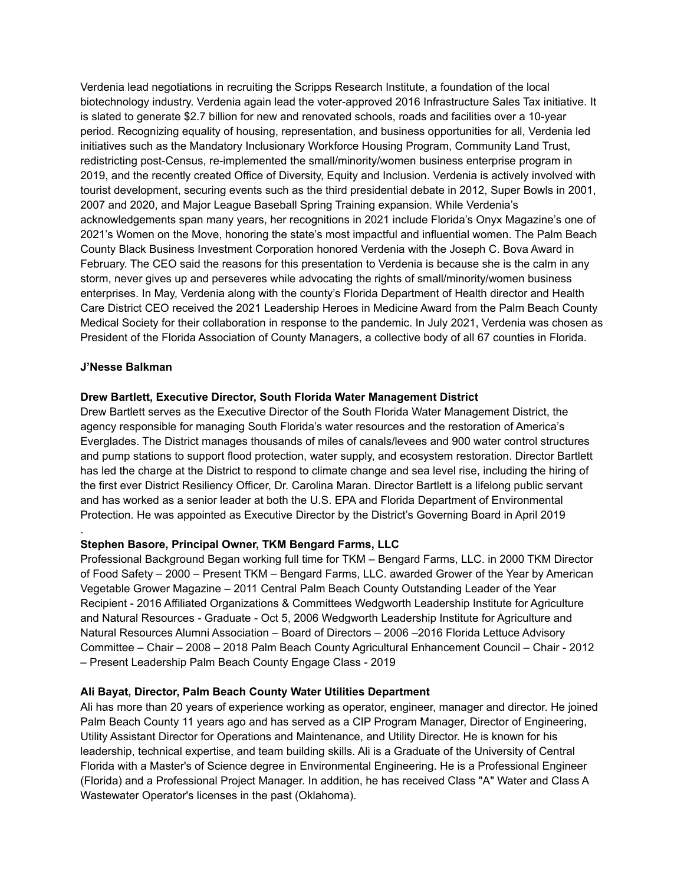Verdenia lead negotiations in recruiting the Scripps Research Institute, a foundation of the local biotechnology industry. Verdenia again lead the voter-approved 2016 Infrastructure Sales Tax initiative. It is slated to generate \$2.7 billion for new and renovated schools, roads and facilities over a 10-year period. Recognizing equality of housing, representation, and business opportunities for all, Verdenia led initiatives such as the Mandatory Inclusionary Workforce Housing Program, Community Land Trust, redistricting post-Census, re-implemented the small/minority/women business enterprise program in 2019, and the recently created Office of Diversity, Equity and Inclusion. Verdenia is actively involved with tourist development, securing events such as the third presidential debate in 2012, Super Bowls in 2001, 2007 and 2020, and Major League Baseball Spring Training expansion. While Verdenia's acknowledgements span many years, her recognitions in 2021 include Florida's Onyx Magazine's one of 2021's Women on the Move, honoring the state's most impactful and influential women. The Palm Beach County Black Business Investment Corporation honored Verdenia with the Joseph C. Bova Award in February. The CEO said the reasons for this presentation to Verdenia is because she is the calm in any storm, never gives up and perseveres while advocating the rights of small/minority/women business enterprises. In May, Verdenia along with the county's Florida Department of Health director and Health Care District CEO received the 2021 Leadership Heroes in Medicine Award from the Palm Beach County Medical Society for their collaboration in response to the pandemic. In July 2021, Verdenia was chosen as President of the Florida Association of County Managers, a collective body of all 67 counties in Florida.

### **J'Nesse Balkman**

.

### **Drew Bartlett, Executive Director, South Florida Water Management District**

Drew Bartlett serves as the Executive Director of the South Florida Water Management District, the agency responsible for managing South Florida's water resources and the restoration of America's Everglades. The District manages thousands of miles of canals/levees and 900 water control structures and pump stations to support flood protection, water supply, and ecosystem restoration. Director Bartlett has led the charge at the District to respond to climate change and sea level rise, including the hiring of the first ever District Resiliency Officer, Dr. Carolina Maran. Director Bartlett is a lifelong public servant and has worked as a senior leader at both the U.S. EPA and Florida Department of Environmental Protection. He was appointed as Executive Director by the District's Governing Board in April 2019

## **Stephen Basore, Principal Owner, TKM Bengard Farms, LLC**

Professional Background Began working full time for TKM – Bengard Farms, LLC. in 2000 TKM Director of Food Safety – 2000 – Present TKM – Bengard Farms, LLC. awarded Grower of the Year by American Vegetable Grower Magazine – 2011 Central Palm Beach County Outstanding Leader of the Year Recipient - 2016 Affiliated Organizations & Committees Wedgworth Leadership Institute for Agriculture and Natural Resources - Graduate - Oct 5, 2006 Wedgworth Leadership Institute for Agriculture and Natural Resources Alumni Association – Board of Directors – 2006 –2016 Florida Lettuce Advisory Committee – Chair – 2008 – 2018 Palm Beach County Agricultural Enhancement Council – Chair - 2012 – Present Leadership Palm Beach County Engage Class - 2019

#### **Ali Bayat, Director, Palm Beach County Water Utilities Department**

Ali has more than 20 years of experience working as operator, engineer, manager and director. He joined Palm Beach County 11 years ago and has served as a CIP Program Manager, Director of Engineering, Utility Assistant Director for Operations and Maintenance, and Utility Director. He is known for his leadership, technical expertise, and team building skills. Ali is a Graduate of the University of Central Florida with a Master's of Science degree in Environmental Engineering. He is a Professional Engineer (Florida) and a Professional Project Manager. In addition, he has received Class "A" Water and Class A Wastewater Operator's licenses in the past (Oklahoma).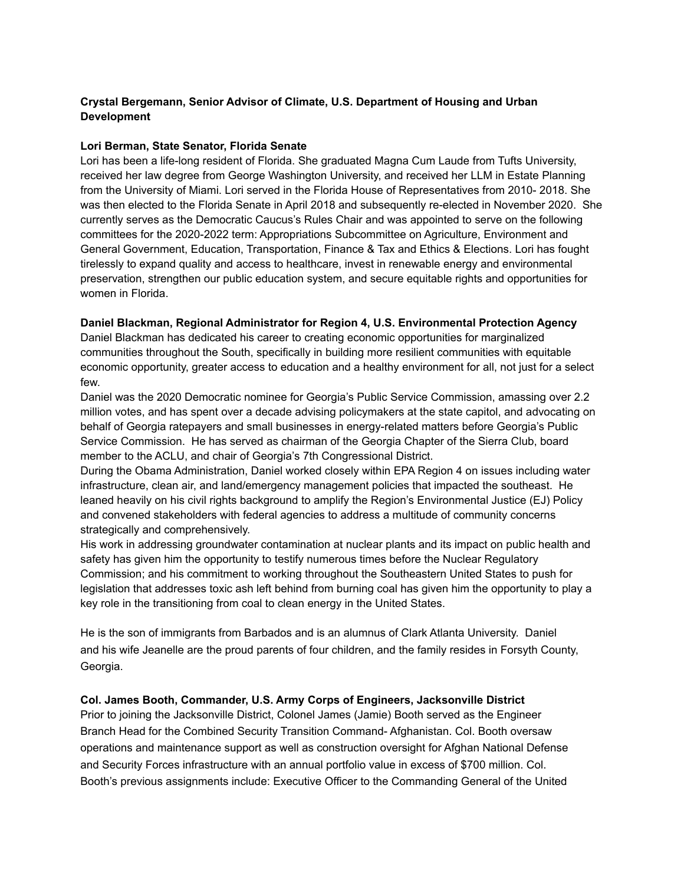## **Crystal Bergemann, Senior Advisor of Climate, U.S. Department of Housing and Urban Development**

### **Lori Berman, State Senator, Florida Senate**

Lori has been a life-long resident of Florida. She graduated Magna Cum Laude from Tufts University, received her law degree from George Washington University, and received her LLM in Estate Planning from the University of Miami. Lori served in the Florida House of Representatives from 2010- 2018. She was then elected to the Florida Senate in April 2018 and subsequently re-elected in November 2020. She currently serves as the Democratic Caucus's Rules Chair and was appointed to serve on the following committees for the 2020-2022 term: Appropriations Subcommittee on Agriculture, Environment and General Government, Education, Transportation, Finance & Tax and Ethics & Elections. Lori has fought tirelessly to expand quality and access to healthcare, invest in renewable energy and environmental preservation, strengthen our public education system, and secure equitable rights and opportunities for women in Florida.

### **Daniel Blackman, Regional Administrator for Region 4, U.S. Environmental Protection Agency**

Daniel Blackman has dedicated his career to creating economic opportunities for marginalized communities throughout the South, specifically in building more resilient communities with equitable economic opportunity, greater access to education and a healthy environment for all, not just for a select few.

Daniel was the 2020 Democratic nominee for Georgia's Public Service Commission, amassing over 2.2 million votes, and has spent over a decade advising policymakers at the state capitol, and advocating on behalf of Georgia ratepayers and small businesses in energy-related matters before Georgia's Public Service Commission. He has served as chairman of the Georgia Chapter of the Sierra Club, board member to the ACLU, and chair of Georgia's 7th Congressional District.

During the Obama Administration, Daniel worked closely within EPA Region 4 on issues including water infrastructure, clean air, and land/emergency management policies that impacted the southeast. He leaned heavily on his civil rights background to amplify the Region's Environmental Justice (EJ) Policy and convened stakeholders with federal agencies to address a multitude of community concerns strategically and comprehensively.

His work in addressing groundwater contamination at nuclear plants and its impact on public health and safety has given him the opportunity to testify numerous times before the Nuclear Regulatory Commission; and his commitment to working throughout the Southeastern United States to push for legislation that addresses toxic ash left behind from burning coal has given him the opportunity to play a key role in the transitioning from coal to clean energy in the United States.

He is the son of immigrants from Barbados and is an alumnus of Clark Atlanta University. Daniel and his wife Jeanelle are the proud parents of four children, and the family resides in Forsyth County, Georgia.

## **Col. James Booth, Commander, U.S. Army Corps of Engineers, Jacksonville District**

Prior to joining the Jacksonville District, Colonel James (Jamie) Booth served as the Engineer Branch Head for the Combined Security Transition Command- Afghanistan. Col. Booth oversaw operations and maintenance support as well as construction oversight for Afghan National Defense and Security Forces infrastructure with an annual portfolio value in excess of \$700 million. Col. Booth's previous assignments include: Executive Officer to the Commanding General of the United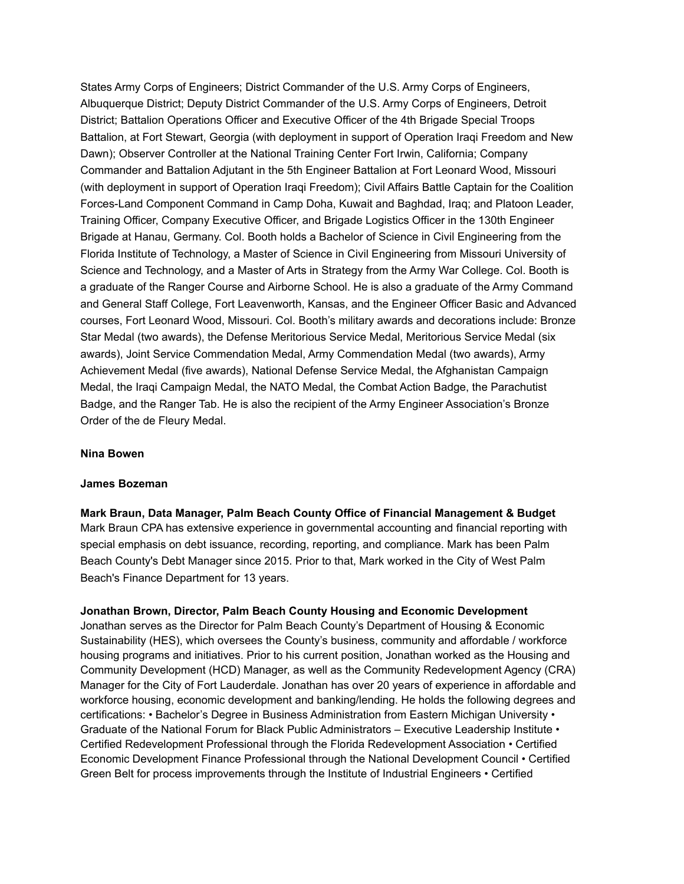States Army Corps of Engineers; District Commander of the U.S. Army Corps of Engineers, Albuquerque District; Deputy District Commander of the U.S. Army Corps of Engineers, Detroit District; Battalion Operations Officer and Executive Officer of the 4th Brigade Special Troops Battalion, at Fort Stewart, Georgia (with deployment in support of Operation Iraqi Freedom and New Dawn); Observer Controller at the National Training Center Fort Irwin, California; Company Commander and Battalion Adjutant in the 5th Engineer Battalion at Fort Leonard Wood, Missouri (with deployment in support of Operation Iraqi Freedom); Civil Affairs Battle Captain for the Coalition Forces-Land Component Command in Camp Doha, Kuwait and Baghdad, Iraq; and Platoon Leader, Training Officer, Company Executive Officer, and Brigade Logistics Officer in the 130th Engineer Brigade at Hanau, Germany. Col. Booth holds a Bachelor of Science in Civil Engineering from the Florida Institute of Technology, a Master of Science in Civil Engineering from Missouri University of Science and Technology, and a Master of Arts in Strategy from the Army War College. Col. Booth is a graduate of the Ranger Course and Airborne School. He is also a graduate of the Army Command and General Staff College, Fort Leavenworth, Kansas, and the Engineer Officer Basic and Advanced courses, Fort Leonard Wood, Missouri. Col. Booth's military awards and decorations include: Bronze Star Medal (two awards), the Defense Meritorious Service Medal, Meritorious Service Medal (six awards), Joint Service Commendation Medal, Army Commendation Medal (two awards), Army Achievement Medal (five awards), National Defense Service Medal, the Afghanistan Campaign Medal, the Iraqi Campaign Medal, the NATO Medal, the Combat Action Badge, the Parachutist Badge, and the Ranger Tab. He is also the recipient of the Army Engineer Association's Bronze Order of the de Fleury Medal.

#### **Nina Bowen**

#### **James Bozeman**

**Mark Braun, Data Manager, Palm Beach County Office of Financial Management & Budget** Mark Braun CPA has extensive experience in governmental accounting and financial reporting with special emphasis on debt issuance, recording, reporting, and compliance. Mark has been Palm Beach County's Debt Manager since 2015. Prior to that, Mark worked in the City of West Palm Beach's Finance Department for 13 years.

#### **Jonathan Brown, Director, Palm Beach County Housing and Economic Development**

Jonathan serves as the Director for Palm Beach County's Department of Housing & Economic Sustainability (HES), which oversees the County's business, community and affordable / workforce housing programs and initiatives. Prior to his current position, Jonathan worked as the Housing and Community Development (HCD) Manager, as well as the Community Redevelopment Agency (CRA) Manager for the City of Fort Lauderdale. Jonathan has over 20 years of experience in affordable and workforce housing, economic development and banking/lending. He holds the following degrees and certifications: • Bachelor's Degree in Business Administration from Eastern Michigan University • Graduate of the National Forum for Black Public Administrators – Executive Leadership Institute • Certified Redevelopment Professional through the Florida Redevelopment Association • Certified Economic Development Finance Professional through the National Development Council • Certified Green Belt for process improvements through the Institute of Industrial Engineers • Certified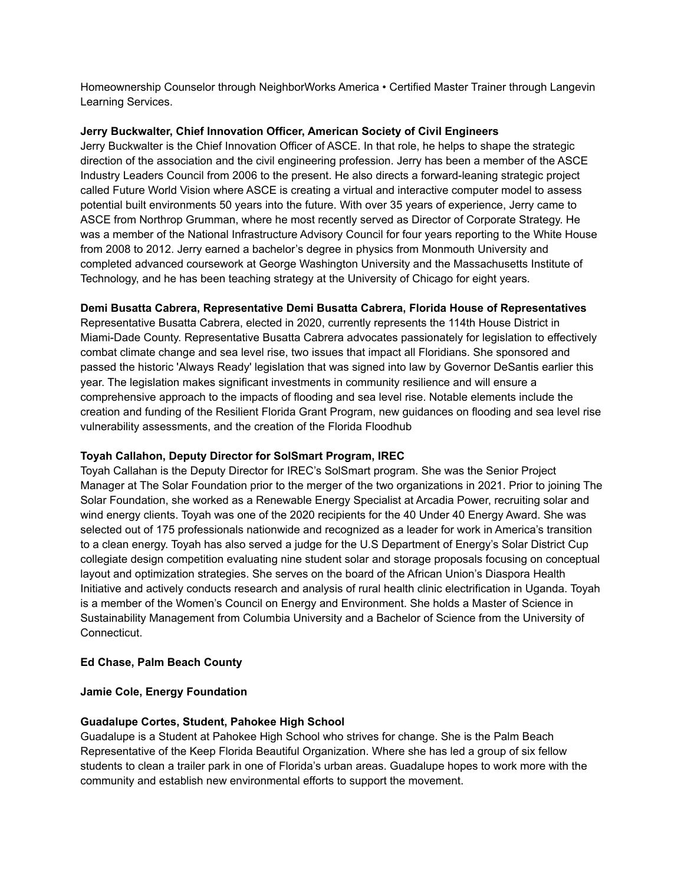Homeownership Counselor through NeighborWorks America • Certified Master Trainer through Langevin Learning Services.

### **Jerry Buckwalter, Chief Innovation Officer, American Society of Civil Engineers**

Jerry Buckwalter is the Chief Innovation Officer of ASCE. In that role, he helps to shape the strategic direction of the association and the civil engineering profession. Jerry has been a member of the ASCE Industry Leaders Council from 2006 to the present. He also directs a forward-leaning strategic project called Future World Vision where ASCE is creating a virtual and interactive computer model to assess potential built environments 50 years into the future. With over 35 years of experience, Jerry came to ASCE from Northrop Grumman, where he most recently served as Director of Corporate Strategy. He was a member of the National Infrastructure Advisory Council for four years reporting to the White House from 2008 to 2012. Jerry earned a bachelor's degree in physics from Monmouth University and completed advanced coursework at George Washington University and the Massachusetts Institute of Technology, and he has been teaching strategy at the University of Chicago for eight years.

## **Demi Busatta Cabrera, Representative Demi Busatta Cabrera, Florida House of Representatives**

Representative Busatta Cabrera, elected in 2020, currently represents the 114th House District in Miami-Dade County. Representative Busatta Cabrera advocates passionately for legislation to effectively combat climate change and sea level rise, two issues that impact all Floridians. She sponsored and passed the historic 'Always Ready' legislation that was signed into law by Governor DeSantis earlier this year. The legislation makes significant investments in community resilience and will ensure a comprehensive approach to the impacts of flooding and sea level rise. Notable elements include the creation and funding of the Resilient Florida Grant Program, new guidances on flooding and sea level rise vulnerability assessments, and the creation of the Florida Floodhub

## **Toyah Callahon, Deputy Director for SolSmart Program, IREC**

Toyah Callahan is the Deputy Director for IREC's SolSmart program. She was the Senior Project Manager at The Solar Foundation prior to the merger of the two organizations in 2021. Prior to joining The Solar Foundation, she worked as a Renewable Energy Specialist at Arcadia Power, recruiting solar and wind energy clients. Toyah was one of the 2020 recipients for the 40 Under 40 Energy Award. She was selected out of 175 professionals nationwide and recognized as a leader for work in America's transition to a clean energy. Toyah has also served a judge for the U.S Department of Energy's Solar District Cup collegiate design competition evaluating nine student solar and storage proposals focusing on conceptual layout and optimization strategies. She serves on the board of the African Union's Diaspora Health Initiative and actively conducts research and analysis of rural health clinic electrification in Uganda. Toyah is a member of the Women's Council on Energy and Environment. She holds a Master of Science in Sustainability Management from Columbia University and a Bachelor of Science from the University of Connecticut.

## **Ed Chase, Palm Beach County**

#### **Jamie Cole, Energy Foundation**

#### **Guadalupe Cortes, Student, Pahokee High School**

Guadalupe is a Student at Pahokee High School who strives for change. She is the Palm Beach Representative of the Keep Florida Beautiful Organization. Where she has led a group of six fellow students to clean a trailer park in one of Florida's urban areas. Guadalupe hopes to work more with the community and establish new environmental efforts to support the movement.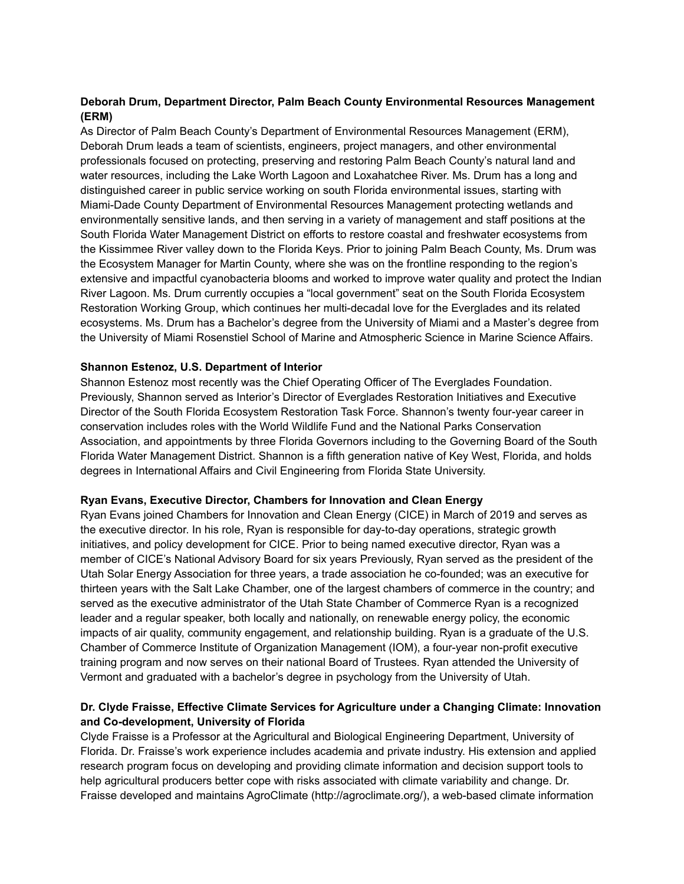# **Deborah Drum, Department Director, Palm Beach County Environmental Resources Management (ERM)**

As Director of Palm Beach County's Department of Environmental Resources Management (ERM), Deborah Drum leads a team of scientists, engineers, project managers, and other environmental professionals focused on protecting, preserving and restoring Palm Beach County's natural land and water resources, including the Lake Worth Lagoon and Loxahatchee River. Ms. Drum has a long and distinguished career in public service working on south Florida environmental issues, starting with Miami-Dade County Department of Environmental Resources Management protecting wetlands and environmentally sensitive lands, and then serving in a variety of management and staff positions at the South Florida Water Management District on efforts to restore coastal and freshwater ecosystems from the Kissimmee River valley down to the Florida Keys. Prior to joining Palm Beach County, Ms. Drum was the Ecosystem Manager for Martin County, where she was on the frontline responding to the region's extensive and impactful cyanobacteria blooms and worked to improve water quality and protect the Indian River Lagoon. Ms. Drum currently occupies a "local government" seat on the South Florida Ecosystem Restoration Working Group, which continues her multi-decadal love for the Everglades and its related ecosystems. Ms. Drum has a Bachelor's degree from the University of Miami and a Master's degree from the University of Miami Rosenstiel School of Marine and Atmospheric Science in Marine Science Affairs.

### **Shannon Estenoz, U.S. Department of Interior**

Shannon Estenoz most recently was the Chief Operating Officer of The Everglades Foundation. Previously, Shannon served as Interior's Director of Everglades Restoration Initiatives and Executive Director of the South Florida Ecosystem Restoration Task Force. Shannon's twenty four-year career in conservation includes roles with the World Wildlife Fund and the National Parks Conservation Association, and appointments by three Florida Governors including to the Governing Board of the South Florida Water Management District. Shannon is a fifth generation native of Key West, Florida, and holds degrees in International Affairs and Civil Engineering from Florida State University.

#### **Ryan Evans, Executive Director, Chambers for Innovation and Clean Energy**

Ryan Evans joined Chambers for Innovation and Clean Energy (CICE) in March of 2019 and serves as the executive director. In his role, Ryan is responsible for day-to-day operations, strategic growth initiatives, and policy development for CICE. Prior to being named executive director, Ryan was a member of CICE's National Advisory Board for six years Previously, Ryan served as the president of the Utah Solar Energy Association for three years, a trade association he co-founded; was an executive for thirteen years with the Salt Lake Chamber, one of the largest chambers of commerce in the country; and served as the executive administrator of the Utah State Chamber of Commerce Ryan is a recognized leader and a regular speaker, both locally and nationally, on renewable energy policy, the economic impacts of air quality, community engagement, and relationship building. Ryan is a graduate of the U.S. Chamber of Commerce Institute of Organization Management (IOM), a four-year non-profit executive training program and now serves on their national Board of Trustees. Ryan attended the University of Vermont and graduated with a bachelor's degree in psychology from the University of Utah.

## **Dr. Clyde Fraisse, Effective Climate Services for Agriculture under a Changing Climate: Innovation and Co-development, University of Florida**

Clyde Fraisse is a Professor at the Agricultural and Biological Engineering Department, University of Florida. Dr. Fraisse's work experience includes academia and private industry. His extension and applied research program focus on developing and providing climate information and decision support tools to help agricultural producers better cope with risks associated with climate variability and change. Dr. Fraisse developed and maintains AgroClimate (http://agroclimate.org/), a web-based climate information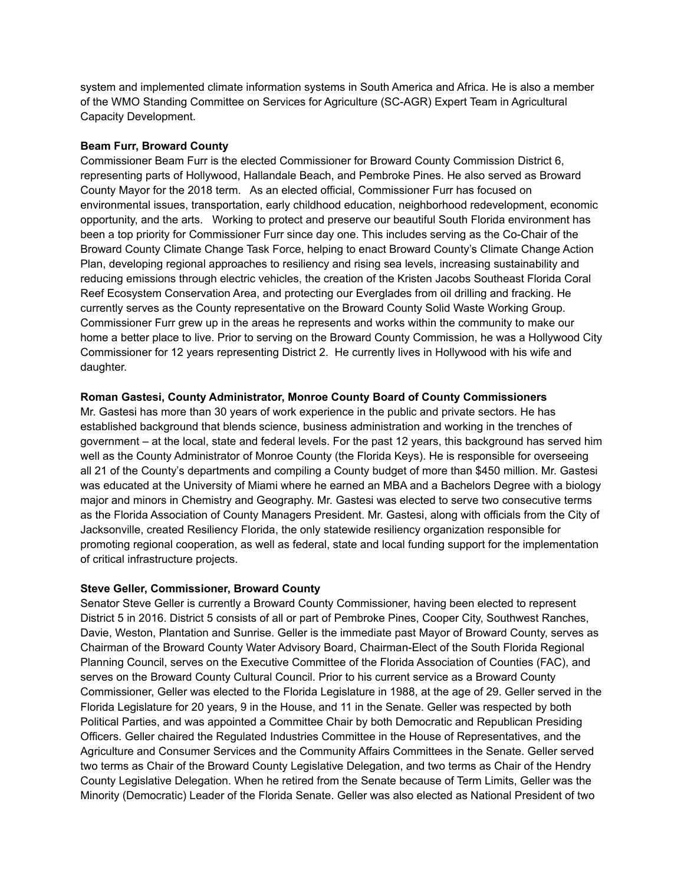system and implemented climate information systems in South America and Africa. He is also a member of the WMO Standing Committee on Services for Agriculture (SC-AGR) Expert Team in Agricultural Capacity Development.

#### **Beam Furr, Broward County**

Commissioner Beam Furr is the elected Commissioner for Broward County Commission District 6, representing parts of Hollywood, Hallandale Beach, and Pembroke Pines. He also served as Broward County Mayor for the 2018 term. As an elected official, Commissioner Furr has focused on environmental issues, transportation, early childhood education, neighborhood redevelopment, economic opportunity, and the arts. Working to protect and preserve our beautiful South Florida environment has been a top priority for Commissioner Furr since day one. This includes serving as the Co-Chair of the Broward County Climate Change Task Force, helping to enact Broward County's Climate Change Action Plan, developing regional approaches to resiliency and rising sea levels, increasing sustainability and reducing emissions through electric vehicles, the creation of the Kristen Jacobs Southeast Florida Coral Reef Ecosystem Conservation Area, and protecting our Everglades from oil drilling and fracking. He currently serves as the County representative on the Broward County Solid Waste Working Group. Commissioner Furr grew up in the areas he represents and works within the community to make our home a better place to live. Prior to serving on the Broward County Commission, he was a Hollywood City Commissioner for 12 years representing District 2. He currently lives in Hollywood with his wife and daughter.

## **Roman Gastesi, County Administrator, Monroe County Board of County Commissioners**

Mr. Gastesi has more than 30 years of work experience in the public and private sectors. He has established background that blends science, business administration and working in the trenches of government – at the local, state and federal levels. For the past 12 years, this background has served him well as the County Administrator of Monroe County (the Florida Keys). He is responsible for overseeing all 21 of the County's departments and compiling a County budget of more than \$450 million. Mr. Gastesi was educated at the University of Miami where he earned an MBA and a Bachelors Degree with a biology major and minors in Chemistry and Geography. Mr. Gastesi was elected to serve two consecutive terms as the Florida Association of County Managers President. Mr. Gastesi, along with officials from the City of Jacksonville, created Resiliency Florida, the only statewide resiliency organization responsible for promoting regional cooperation, as well as federal, state and local funding support for the implementation of critical infrastructure projects.

## **Steve Geller, Commissioner, Broward County**

Senator Steve Geller is currently a Broward County Commissioner, having been elected to represent District 5 in 2016. District 5 consists of all or part of Pembroke Pines, Cooper City, Southwest Ranches, Davie, Weston, Plantation and Sunrise. Geller is the immediate past Mayor of Broward County, serves as Chairman of the Broward County Water Advisory Board, Chairman-Elect of the South Florida Regional Planning Council, serves on the Executive Committee of the Florida Association of Counties (FAC), and serves on the Broward County Cultural Council. Prior to his current service as a Broward County Commissioner, Geller was elected to the Florida Legislature in 1988, at the age of 29. Geller served in the Florida Legislature for 20 years, 9 in the House, and 11 in the Senate. Geller was respected by both Political Parties, and was appointed a Committee Chair by both Democratic and Republican Presiding Officers. Geller chaired the Regulated Industries Committee in the House of Representatives, and the Agriculture and Consumer Services and the Community Affairs Committees in the Senate. Geller served two terms as Chair of the Broward County Legislative Delegation, and two terms as Chair of the Hendry County Legislative Delegation. When he retired from the Senate because of Term Limits, Geller was the Minority (Democratic) Leader of the Florida Senate. Geller was also elected as National President of two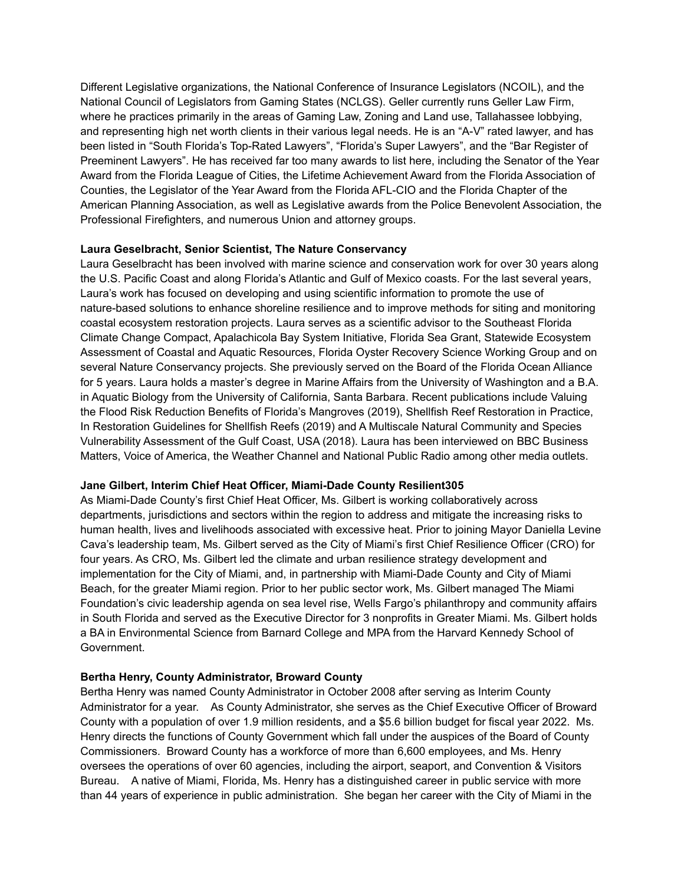Different Legislative organizations, the National Conference of Insurance Legislators (NCOIL), and the National Council of Legislators from Gaming States (NCLGS). Geller currently runs Geller Law Firm, where he practices primarily in the areas of Gaming Law, Zoning and Land use, Tallahassee lobbying, and representing high net worth clients in their various legal needs. He is an "A-V" rated lawyer, and has been listed in "South Florida's Top-Rated Lawyers", "Florida's Super Lawyers", and the "Bar Register of Preeminent Lawyers". He has received far too many awards to list here, including the Senator of the Year Award from the Florida League of Cities, the Lifetime Achievement Award from the Florida Association of Counties, the Legislator of the Year Award from the Florida AFL-CIO and the Florida Chapter of the American Planning Association, as well as Legislative awards from the Police Benevolent Association, the Professional Firefighters, and numerous Union and attorney groups.

### **Laura Geselbracht, Senior Scientist, The Nature Conservancy**

Laura Geselbracht has been involved with marine science and conservation work for over 30 years along the U.S. Pacific Coast and along Florida's Atlantic and Gulf of Mexico coasts. For the last several years, Laura's work has focused on developing and using scientific information to promote the use of nature-based solutions to enhance shoreline resilience and to improve methods for siting and monitoring coastal ecosystem restoration projects. Laura serves as a scientific advisor to the Southeast Florida Climate Change Compact, Apalachicola Bay System Initiative, Florida Sea Grant, Statewide Ecosystem Assessment of Coastal and Aquatic Resources, Florida Oyster Recovery Science Working Group and on several Nature Conservancy projects. She previously served on the Board of the Florida Ocean Alliance for 5 years. Laura holds a master's degree in Marine Affairs from the University of Washington and a B.A. in Aquatic Biology from the University of California, Santa Barbara. Recent publications include Valuing the Flood Risk Reduction Benefits of Florida's Mangroves (2019), Shellfish Reef Restoration in Practice, In Restoration Guidelines for Shellfish Reefs (2019) and A Multiscale Natural Community and Species Vulnerability Assessment of the Gulf Coast, USA (2018). Laura has been interviewed on BBC Business Matters, Voice of America, the Weather Channel and National Public Radio among other media outlets.

## **Jane Gilbert, Interim Chief Heat Officer, Miami-Dade County Resilient305**

As Miami-Dade County's first Chief Heat Officer, Ms. Gilbert is working collaboratively across departments, jurisdictions and sectors within the region to address and mitigate the increasing risks to human health, lives and livelihoods associated with excessive heat. Prior to joining Mayor Daniella Levine Cava's leadership team, Ms. Gilbert served as the City of Miami's first Chief Resilience Officer (CRO) for four years. As CRO, Ms. Gilbert led the climate and urban resilience strategy development and implementation for the City of Miami, and, in partnership with Miami-Dade County and City of Miami Beach, for the greater Miami region. Prior to her public sector work, Ms. Gilbert managed The Miami Foundation's civic leadership agenda on sea level rise, Wells Fargo's philanthropy and community affairs in South Florida and served as the Executive Director for 3 nonprofits in Greater Miami. Ms. Gilbert holds a BA in Environmental Science from Barnard College and MPA from the Harvard Kennedy School of Government.

## **Bertha Henry, County Administrator, Broward County**

Bertha Henry was named County Administrator in October 2008 after serving as Interim County Administrator for a year. As County Administrator, she serves as the Chief Executive Officer of Broward County with a population of over 1.9 million residents, and a \$5.6 billion budget for fiscal year 2022. Ms. Henry directs the functions of County Government which fall under the auspices of the Board of County Commissioners. Broward County has a workforce of more than 6,600 employees, and Ms. Henry oversees the operations of over 60 agencies, including the airport, seaport, and Convention & Visitors Bureau. A native of Miami, Florida, Ms. Henry has a distinguished career in public service with more than 44 years of experience in public administration. She began her career with the City of Miami in the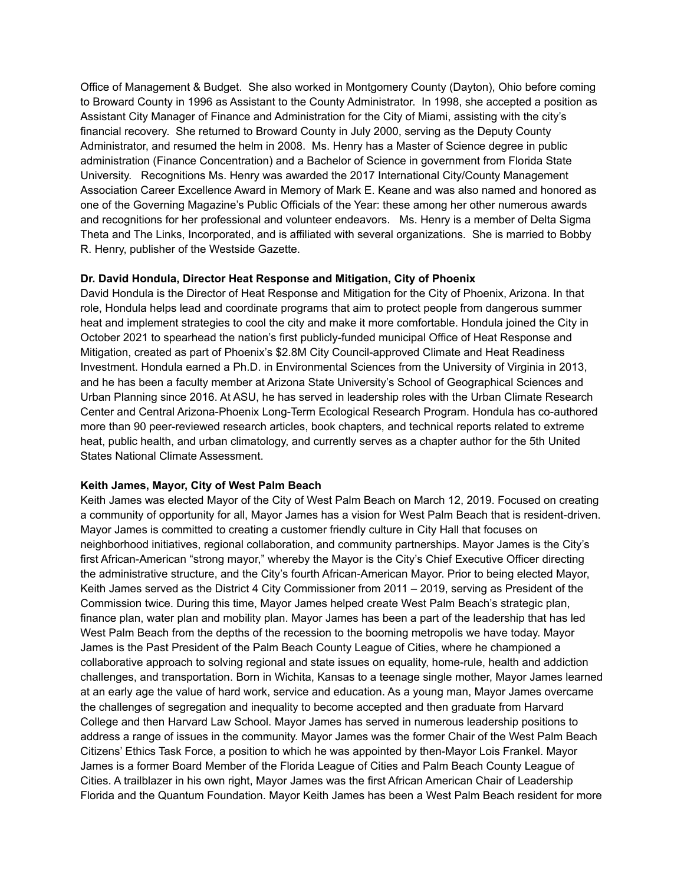Office of Management & Budget. She also worked in Montgomery County (Dayton), Ohio before coming to Broward County in 1996 as Assistant to the County Administrator. In 1998, she accepted a position as Assistant City Manager of Finance and Administration for the City of Miami, assisting with the city's financial recovery. She returned to Broward County in July 2000, serving as the Deputy County Administrator, and resumed the helm in 2008. Ms. Henry has a Master of Science degree in public administration (Finance Concentration) and a Bachelor of Science in government from Florida State University. Recognitions Ms. Henry was awarded the 2017 International City/County Management Association Career Excellence Award in Memory of Mark E. Keane and was also named and honored as one of the Governing Magazine's Public Officials of the Year: these among her other numerous awards and recognitions for her professional and volunteer endeavors. Ms. Henry is a member of Delta Sigma Theta and The Links, Incorporated, and is affiliated with several organizations. She is married to Bobby R. Henry, publisher of the Westside Gazette.

#### **Dr. David Hondula, Director Heat Response and Mitigation, City of Phoenix**

David Hondula is the Director of Heat Response and Mitigation for the City of Phoenix, Arizona. In that role, Hondula helps lead and coordinate programs that aim to protect people from dangerous summer heat and implement strategies to cool the city and make it more comfortable. Hondula joined the City in October 2021 to spearhead the nation's first publicly-funded municipal Office of Heat Response and Mitigation, created as part of Phoenix's \$2.8M City Council-approved Climate and Heat Readiness Investment. Hondula earned a Ph.D. in Environmental Sciences from the University of Virginia in 2013, and he has been a faculty member at Arizona State University's School of Geographical Sciences and Urban Planning since 2016. At ASU, he has served in leadership roles with the Urban Climate Research Center and Central Arizona-Phoenix Long-Term Ecological Research Program. Hondula has co-authored more than 90 peer-reviewed research articles, book chapters, and technical reports related to extreme heat, public health, and urban climatology, and currently serves as a chapter author for the 5th United States National Climate Assessment.

#### **Keith James, Mayor, City of West Palm Beach**

Keith James was elected Mayor of the City of West Palm Beach on March 12, 2019. Focused on creating a community of opportunity for all, Mayor James has a vision for West Palm Beach that is resident-driven. Mayor James is committed to creating a customer friendly culture in City Hall that focuses on neighborhood initiatives, regional collaboration, and community partnerships. Mayor James is the City's first African-American "strong mayor," whereby the Mayor is the City's Chief Executive Officer directing the administrative structure, and the City's fourth African-American Mayor. Prior to being elected Mayor, Keith James served as the District 4 City Commissioner from 2011 – 2019, serving as President of the Commission twice. During this time, Mayor James helped create West Palm Beach's strategic plan, finance plan, water plan and mobility plan. Mayor James has been a part of the leadership that has led West Palm Beach from the depths of the recession to the booming metropolis we have today. Mayor James is the Past President of the Palm Beach County League of Cities, where he championed a collaborative approach to solving regional and state issues on equality, home-rule, health and addiction challenges, and transportation. Born in Wichita, Kansas to a teenage single mother, Mayor James learned at an early age the value of hard work, service and education. As a young man, Mayor James overcame the challenges of segregation and inequality to become accepted and then graduate from Harvard College and then Harvard Law School. Mayor James has served in numerous leadership positions to address a range of issues in the community. Mayor James was the former Chair of the West Palm Beach Citizens' Ethics Task Force, a position to which he was appointed by then-Mayor Lois Frankel. Mayor James is a former Board Member of the Florida League of Cities and Palm Beach County League of Cities. A trailblazer in his own right, Mayor James was the first African American Chair of Leadership Florida and the Quantum Foundation. Mayor Keith James has been a West Palm Beach resident for more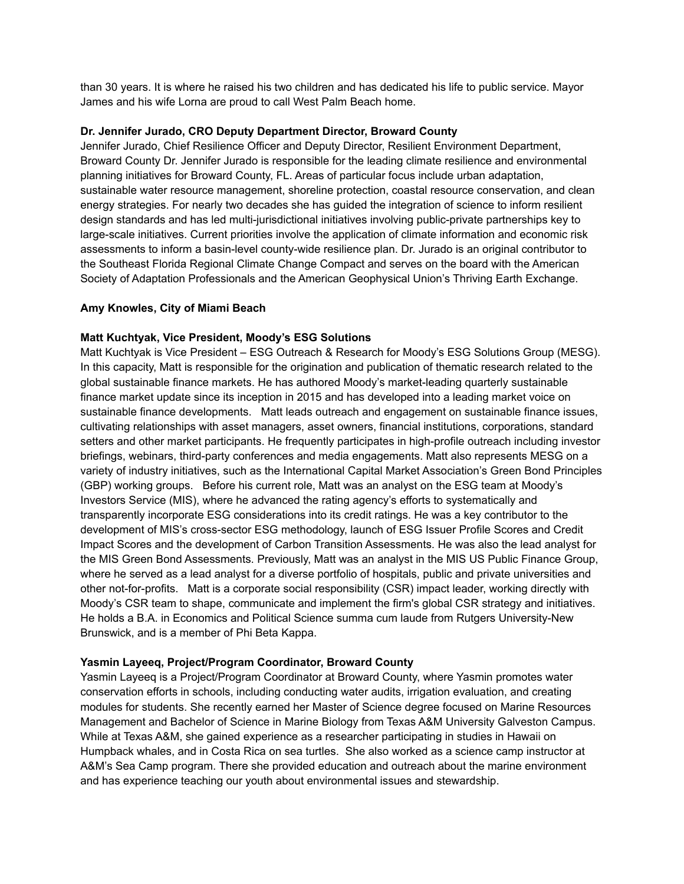than 30 years. It is where he raised his two children and has dedicated his life to public service. Mayor James and his wife Lorna are proud to call West Palm Beach home.

#### **Dr. Jennifer Jurado, CRO Deputy Department Director, Broward County**

Jennifer Jurado, Chief Resilience Officer and Deputy Director, Resilient Environment Department, Broward County Dr. Jennifer Jurado is responsible for the leading climate resilience and environmental planning initiatives for Broward County, FL. Areas of particular focus include urban adaptation, sustainable water resource management, shoreline protection, coastal resource conservation, and clean energy strategies. For nearly two decades she has guided the integration of science to inform resilient design standards and has led multi-jurisdictional initiatives involving public-private partnerships key to large-scale initiatives. Current priorities involve the application of climate information and economic risk assessments to inform a basin-level county-wide resilience plan. Dr. Jurado is an original contributor to the Southeast Florida Regional Climate Change Compact and serves on the board with the American Society of Adaptation Professionals and the American Geophysical Union's Thriving Earth Exchange.

### **Amy Knowles, City of Miami Beach**

### **Matt Kuchtyak, Vice President, Moody's ESG Solutions**

Matt Kuchtyak is Vice President – ESG Outreach & Research for Moody's ESG Solutions Group (MESG). In this capacity, Matt is responsible for the origination and publication of thematic research related to the global sustainable finance markets. He has authored Moody's market-leading quarterly sustainable finance market update since its inception in 2015 and has developed into a leading market voice on sustainable finance developments. Matt leads outreach and engagement on sustainable finance issues, cultivating relationships with asset managers, asset owners, financial institutions, corporations, standard setters and other market participants. He frequently participates in high-profile outreach including investor briefings, webinars, third-party conferences and media engagements. Matt also represents MESG on a variety of industry initiatives, such as the International Capital Market Association's Green Bond Principles (GBP) working groups. Before his current role, Matt was an analyst on the ESG team at Moody's Investors Service (MIS), where he advanced the rating agency's efforts to systematically and transparently incorporate ESG considerations into its credit ratings. He was a key contributor to the development of MIS's cross-sector ESG methodology, launch of ESG Issuer Profile Scores and Credit Impact Scores and the development of Carbon Transition Assessments. He was also the lead analyst for the MIS Green Bond Assessments. Previously, Matt was an analyst in the MIS US Public Finance Group, where he served as a lead analyst for a diverse portfolio of hospitals, public and private universities and other not-for-profits. Matt is a corporate social responsibility (CSR) impact leader, working directly with Moody's CSR team to shape, communicate and implement the firm's global CSR strategy and initiatives. He holds a B.A. in Economics and Political Science summa cum laude from Rutgers University-New Brunswick, and is a member of Phi Beta Kappa.

## **Yasmin Layeeq, Project/Program Coordinator, Broward County**

Yasmin Layeeq is a Project/Program Coordinator at Broward County, where Yasmin promotes water conservation efforts in schools, including conducting water audits, irrigation evaluation, and creating modules for students. She recently earned her Master of Science degree focused on Marine Resources Management and Bachelor of Science in Marine Biology from Texas A&M University Galveston Campus. While at Texas A&M, she gained experience as a researcher participating in studies in Hawaii on Humpback whales, and in Costa Rica on sea turtles. She also worked as a science camp instructor at A&M's Sea Camp program. There she provided education and outreach about the marine environment and has experience teaching our youth about environmental issues and stewardship.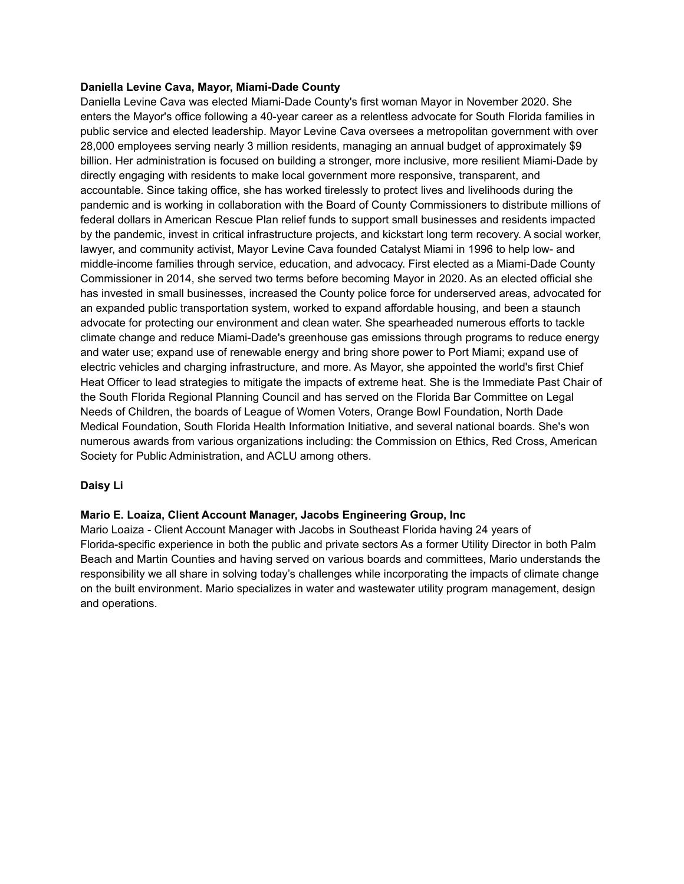#### **Daniella Levine Cava, Mayor, Miami-Dade County**

Daniella Levine Cava was elected Miami-Dade County's first woman Mayor in November 2020. She enters the Mayor's office following a 40-year career as a relentless advocate for South Florida families in public service and elected leadership. Mayor Levine Cava oversees a metropolitan government with over 28,000 employees serving nearly 3 million residents, managing an annual budget of approximately \$9 billion. Her administration is focused on building a stronger, more inclusive, more resilient Miami-Dade by directly engaging with residents to make local government more responsive, transparent, and accountable. Since taking office, she has worked tirelessly to protect lives and livelihoods during the pandemic and is working in collaboration with the Board of County Commissioners to distribute millions of federal dollars in American Rescue Plan relief funds to support small businesses and residents impacted by the pandemic, invest in critical infrastructure projects, and kickstart long term recovery. A social worker, lawyer, and community activist, Mayor Levine Cava founded Catalyst Miami in 1996 to help low- and middle-income families through service, education, and advocacy. First elected as a Miami-Dade County Commissioner in 2014, she served two terms before becoming Mayor in 2020. As an elected official she has invested in small businesses, increased the County police force for underserved areas, advocated for an expanded public transportation system, worked to expand affordable housing, and been a staunch advocate for protecting our environment and clean water. She spearheaded numerous efforts to tackle climate change and reduce Miami-Dade's greenhouse gas emissions through programs to reduce energy and water use; expand use of renewable energy and bring shore power to Port Miami; expand use of electric vehicles and charging infrastructure, and more. As Mayor, she appointed the world's first Chief Heat Officer to lead strategies to mitigate the impacts of extreme heat. She is the Immediate Past Chair of the South Florida Regional Planning Council and has served on the Florida Bar Committee on Legal Needs of Children, the boards of League of Women Voters, Orange Bowl Foundation, North Dade Medical Foundation, South Florida Health Information Initiative, and several national boards. She's won numerous awards from various organizations including: the Commission on Ethics, Red Cross, American Society for Public Administration, and ACLU among others.

## **Daisy Li**

## **Mario E. Loaiza, Client Account Manager, Jacobs Engineering Group, Inc**

Mario Loaiza - Client Account Manager with Jacobs in Southeast Florida having 24 years of Florida-specific experience in both the public and private sectors As a former Utility Director in both Palm Beach and Martin Counties and having served on various boards and committees, Mario understands the responsibility we all share in solving today's challenges while incorporating the impacts of climate change on the built environment. Mario specializes in water and wastewater utility program management, design and operations.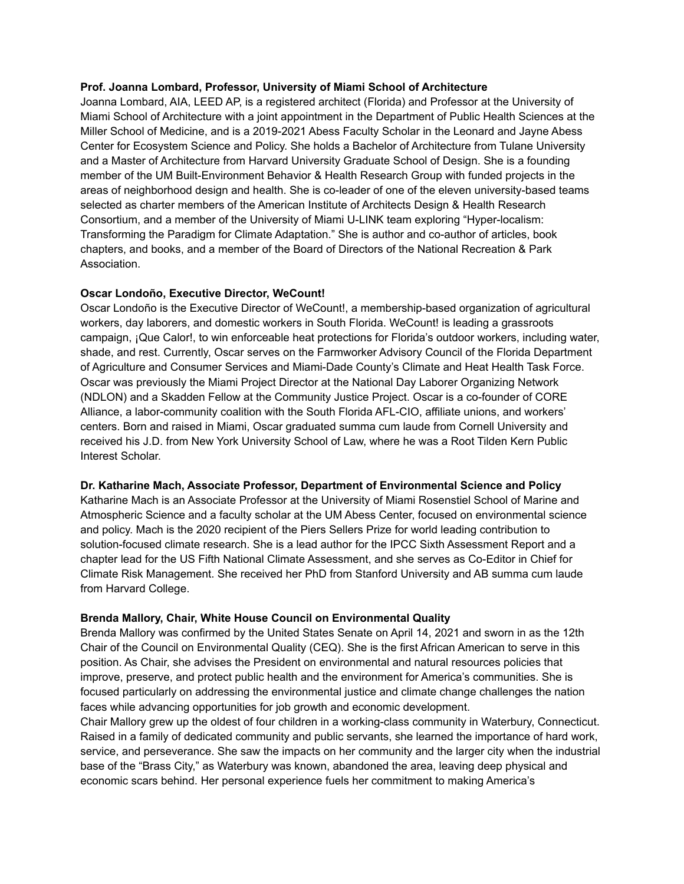#### **Prof. Joanna Lombard, Professor, University of Miami School of Architecture**

Joanna Lombard, AIA, LEED AP, is a registered architect (Florida) and Professor at the University of Miami School of Architecture with a joint appointment in the Department of Public Health Sciences at the Miller School of Medicine, and is a 2019-2021 Abess Faculty Scholar in the Leonard and Jayne Abess Center for Ecosystem Science and Policy. She holds a Bachelor of Architecture from Tulane University and a Master of Architecture from Harvard University Graduate School of Design. She is a founding member of the UM Built-Environment Behavior & Health Research Group with funded projects in the areas of neighborhood design and health. She is co-leader of one of the eleven university-based teams selected as charter members of the American Institute of Architects Design & Health Research Consortium, and a member of the University of Miami U-LINK team exploring "Hyper-localism: Transforming the Paradigm for Climate Adaptation." She is author and co-author of articles, book chapters, and books, and a member of the Board of Directors of the National Recreation & Park Association.

### **Oscar Londoño, Executive Director, WeCount!**

Oscar Londoño is the Executive Director of WeCount!, a membership-based organization of agricultural workers, day laborers, and domestic workers in South Florida. WeCount! is leading a grassroots campaign, ¡Que Calor!, to win enforceable heat protections for Florida's outdoor workers, including water, shade, and rest. Currently, Oscar serves on the Farmworker Advisory Council of the Florida Department of Agriculture and Consumer Services and Miami-Dade County's Climate and Heat Health Task Force. Oscar was previously the Miami Project Director at the National Day Laborer Organizing Network (NDLON) and a Skadden Fellow at the Community Justice Project. Oscar is a co-founder of CORE Alliance, a labor-community coalition with the South Florida AFL-CIO, affiliate unions, and workers' centers. Born and raised in Miami, Oscar graduated summa cum laude from Cornell University and received his J.D. from New York University School of Law, where he was a Root Tilden Kern Public Interest Scholar.

#### **Dr. Katharine Mach, Associate Professor, Department of Environmental Science and Policy**

Katharine Mach is an Associate Professor at the University of Miami Rosenstiel School of Marine and Atmospheric Science and a faculty scholar at the UM Abess Center, focused on environmental science and policy. Mach is the 2020 recipient of the Piers Sellers Prize for world leading contribution to solution-focused climate research. She is a lead author for the IPCC Sixth Assessment Report and a chapter lead for the US Fifth National Climate Assessment, and she serves as Co-Editor in Chief for Climate Risk Management. She received her PhD from Stanford University and AB summa cum laude from Harvard College.

#### **Brenda Mallory, Chair, White House Council on Environmental Quality**

Brenda Mallory was confirmed by the United States Senate on April 14, 2021 and sworn in as the 12th Chair of the Council on Environmental Quality (CEQ). She is the first African American to serve in this position. As Chair, she advises the President on environmental and natural resources policies that improve, preserve, and protect public health and the environment for America's communities. She is focused particularly on addressing the environmental justice and climate change challenges the nation faces while advancing opportunities for job growth and economic development.

Chair Mallory grew up the oldest of four children in a working-class community in Waterbury, Connecticut. Raised in a family of dedicated community and public servants, she learned the importance of hard work, service, and perseverance. She saw the impacts on her community and the larger city when the industrial base of the "Brass City," as Waterbury was known, abandoned the area, leaving deep physical and economic scars behind. Her personal experience fuels her commitment to making America's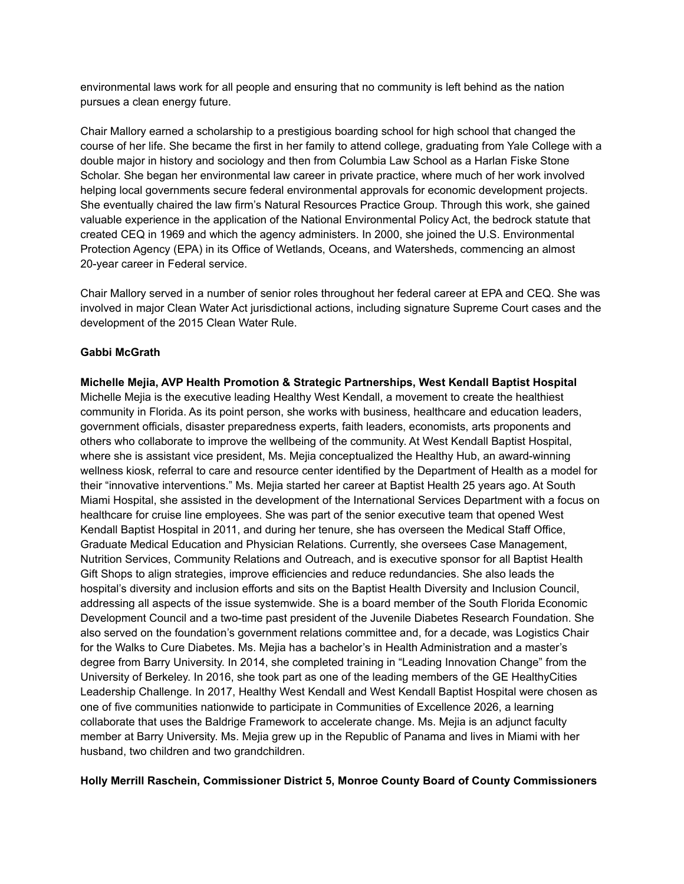environmental laws work for all people and ensuring that no community is left behind as the nation pursues a clean energy future.

Chair Mallory earned a scholarship to a prestigious boarding school for high school that changed the course of her life. She became the first in her family to attend college, graduating from Yale College with a double major in history and sociology and then from Columbia Law School as a Harlan Fiske Stone Scholar. She began her environmental law career in private practice, where much of her work involved helping local governments secure federal environmental approvals for economic development projects. She eventually chaired the law firm's Natural Resources Practice Group. Through this work, she gained valuable experience in the application of the National Environmental Policy Act, the bedrock statute that created CEQ in 1969 and which the agency administers. In 2000, she joined the U.S. Environmental Protection Agency (EPA) in its Office of Wetlands, Oceans, and Watersheds, commencing an almost 20-year career in Federal service.

Chair Mallory served in a number of senior roles throughout her federal career at EPA and CEQ. She was involved in major Clean Water Act jurisdictional actions, including signature Supreme Court cases and the development of the 2015 Clean Water Rule.

### **Gabbi McGrath**

**Michelle Mejia, AVP Health Promotion & Strategic Partnerships, West Kendall Baptist Hospital** Michelle Mejia is the executive leading Healthy West Kendall, a movement to create the healthiest community in Florida. As its point person, she works with business, healthcare and education leaders, government officials, disaster preparedness experts, faith leaders, economists, arts proponents and others who collaborate to improve the wellbeing of the community. At West Kendall Baptist Hospital, where she is assistant vice president, Ms. Mejia conceptualized the Healthy Hub, an award-winning wellness kiosk, referral to care and resource center identified by the Department of Health as a model for their "innovative interventions." Ms. Mejia started her career at Baptist Health 25 years ago. At South Miami Hospital, she assisted in the development of the International Services Department with a focus on healthcare for cruise line employees. She was part of the senior executive team that opened West Kendall Baptist Hospital in 2011, and during her tenure, she has overseen the Medical Staff Office, Graduate Medical Education and Physician Relations. Currently, she oversees Case Management, Nutrition Services, Community Relations and Outreach, and is executive sponsor for all Baptist Health Gift Shops to align strategies, improve efficiencies and reduce redundancies. She also leads the hospital's diversity and inclusion efforts and sits on the Baptist Health Diversity and Inclusion Council, addressing all aspects of the issue systemwide. She is a board member of the South Florida Economic Development Council and a two-time past president of the Juvenile Diabetes Research Foundation. She also served on the foundation's government relations committee and, for a decade, was Logistics Chair for the Walks to Cure Diabetes. Ms. Mejia has a bachelor's in Health Administration and a master's degree from Barry University. In 2014, she completed training in "Leading Innovation Change" from the University of Berkeley. In 2016, she took part as one of the leading members of the GE HealthyCities Leadership Challenge. In 2017, Healthy West Kendall and West Kendall Baptist Hospital were chosen as one of five communities nationwide to participate in Communities of Excellence 2026, a learning collaborate that uses the Baldrige Framework to accelerate change. Ms. Mejia is an adjunct faculty member at Barry University. Ms. Mejia grew up in the Republic of Panama and lives in Miami with her husband, two children and two grandchildren.

**Holly Merrill Raschein, Commissioner District 5, Monroe County Board of County Commissioners**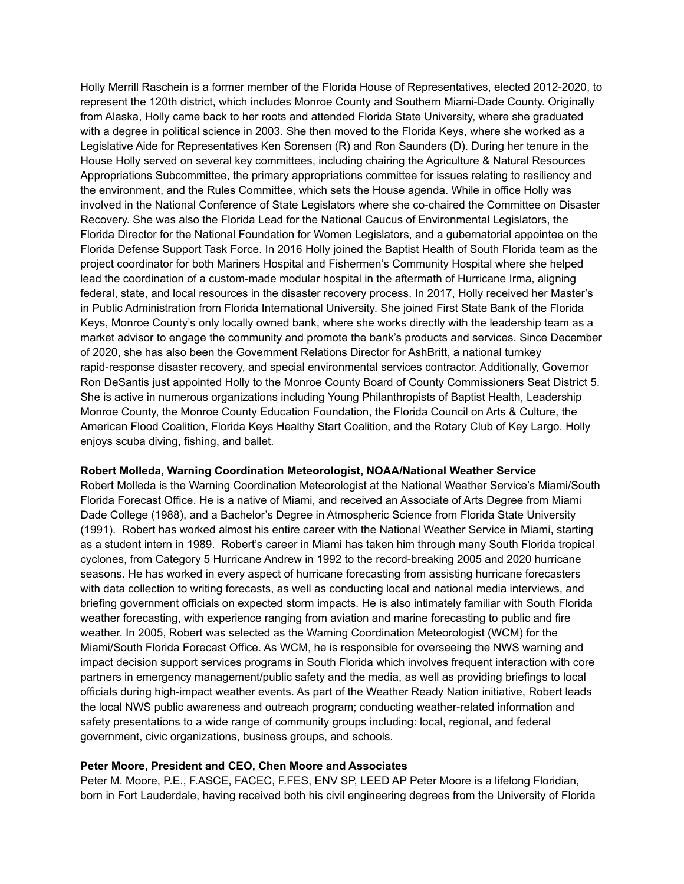Holly Merrill Raschein is a former member of the Florida House of Representatives, elected 2012-2020, to represent the 120th district, which includes Monroe County and Southern Miami-Dade County. Originally from Alaska, Holly came back to her roots and attended Florida State University, where she graduated with a degree in political science in 2003. She then moved to the Florida Keys, where she worked as a Legislative Aide for Representatives Ken Sorensen (R) and Ron Saunders (D). During her tenure in the House Holly served on several key committees, including chairing the Agriculture & Natural Resources Appropriations Subcommittee, the primary appropriations committee for issues relating to resiliency and the environment, and the Rules Committee, which sets the House agenda. While in office Holly was involved in the National Conference of State Legislators where she co-chaired the Committee on Disaster Recovery. She was also the Florida Lead for the National Caucus of Environmental Legislators, the Florida Director for the National Foundation for Women Legislators, and a gubernatorial appointee on the Florida Defense Support Task Force. In 2016 Holly joined the Baptist Health of South Florida team as the project coordinator for both Mariners Hospital and Fishermen's Community Hospital where she helped lead the coordination of a custom-made modular hospital in the aftermath of Hurricane Irma, aligning federal, state, and local resources in the disaster recovery process. In 2017, Holly received her Master's in Public Administration from Florida International University. She joined First State Bank of the Florida Keys, Monroe County's only locally owned bank, where she works directly with the leadership team as a market advisor to engage the community and promote the bank's products and services. Since December of 2020, she has also been the Government Relations Director for AshBritt, a national turnkey rapid-response disaster recovery, and special environmental services contractor. Additionally, Governor Ron DeSantis just appointed Holly to the Monroe County Board of County Commissioners Seat District 5. She is active in numerous organizations including Young Philanthropists of Baptist Health, Leadership Monroe County, the Monroe County Education Foundation, the Florida Council on Arts & Culture, the American Flood Coalition, Florida Keys Healthy Start Coalition, and the Rotary Club of Key Largo. Holly enjoys scuba diving, fishing, and ballet.

#### **Robert Molleda, Warning Coordination Meteorologist, NOAA/National Weather Service**

Robert Molleda is the Warning Coordination Meteorologist at the National Weather Service's Miami/South Florida Forecast Office. He is a native of Miami, and received an Associate of Arts Degree from Miami Dade College (1988), and a Bachelor's Degree in Atmospheric Science from Florida State University (1991). Robert has worked almost his entire career with the National Weather Service in Miami, starting as a student intern in 1989. Robert's career in Miami has taken him through many South Florida tropical cyclones, from Category 5 Hurricane Andrew in 1992 to the record-breaking 2005 and 2020 hurricane seasons. He has worked in every aspect of hurricane forecasting from assisting hurricane forecasters with data collection to writing forecasts, as well as conducting local and national media interviews, and briefing government officials on expected storm impacts. He is also intimately familiar with South Florida weather forecasting, with experience ranging from aviation and marine forecasting to public and fire weather. In 2005, Robert was selected as the Warning Coordination Meteorologist (WCM) for the Miami/South Florida Forecast Office. As WCM, he is responsible for overseeing the NWS warning and impact decision support services programs in South Florida which involves frequent interaction with core partners in emergency management/public safety and the media, as well as providing briefings to local officials during high-impact weather events. As part of the Weather Ready Nation initiative, Robert leads the local NWS public awareness and outreach program; conducting weather-related information and safety presentations to a wide range of community groups including: local, regional, and federal government, civic organizations, business groups, and schools.

#### **Peter Moore, President and CEO, Chen Moore and Associates**

Peter M. Moore, P.E., F.ASCE, FACEC, F.FES, ENV SP, LEED AP Peter Moore is a lifelong Floridian, born in Fort Lauderdale, having received both his civil engineering degrees from the University of Florida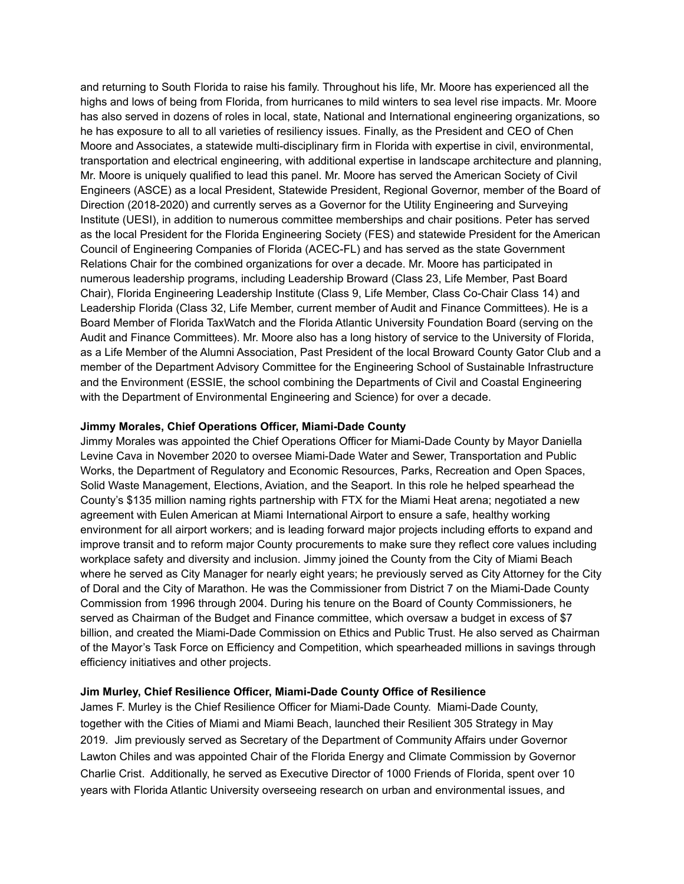and returning to South Florida to raise his family. Throughout his life, Mr. Moore has experienced all the highs and lows of being from Florida, from hurricanes to mild winters to sea level rise impacts. Mr. Moore has also served in dozens of roles in local, state, National and International engineering organizations, so he has exposure to all to all varieties of resiliency issues. Finally, as the President and CEO of Chen Moore and Associates, a statewide multi-disciplinary firm in Florida with expertise in civil, environmental, transportation and electrical engineering, with additional expertise in landscape architecture and planning, Mr. Moore is uniquely qualified to lead this panel. Mr. Moore has served the American Society of Civil Engineers (ASCE) as a local President, Statewide President, Regional Governor, member of the Board of Direction (2018-2020) and currently serves as a Governor for the Utility Engineering and Surveying Institute (UESI), in addition to numerous committee memberships and chair positions. Peter has served as the local President for the Florida Engineering Society (FES) and statewide President for the American Council of Engineering Companies of Florida (ACEC-FL) and has served as the state Government Relations Chair for the combined organizations for over a decade. Mr. Moore has participated in numerous leadership programs, including Leadership Broward (Class 23, Life Member, Past Board Chair), Florida Engineering Leadership Institute (Class 9, Life Member, Class Co-Chair Class 14) and Leadership Florida (Class 32, Life Member, current member of Audit and Finance Committees). He is a Board Member of Florida TaxWatch and the Florida Atlantic University Foundation Board (serving on the Audit and Finance Committees). Mr. Moore also has a long history of service to the University of Florida, as a Life Member of the Alumni Association, Past President of the local Broward County Gator Club and a member of the Department Advisory Committee for the Engineering School of Sustainable Infrastructure and the Environment (ESSIE, the school combining the Departments of Civil and Coastal Engineering with the Department of Environmental Engineering and Science) for over a decade.

### **Jimmy Morales, Chief Operations Officer, Miami-Dade County**

Jimmy Morales was appointed the Chief Operations Officer for Miami-Dade County by Mayor Daniella Levine Cava in November 2020 to oversee Miami-Dade Water and Sewer, Transportation and Public Works, the Department of Regulatory and Economic Resources, Parks, Recreation and Open Spaces, Solid Waste Management, Elections, Aviation, and the Seaport. In this role he helped spearhead the County's \$135 million naming rights partnership with FTX for the Miami Heat arena; negotiated a new agreement with Eulen American at Miami International Airport to ensure a safe, healthy working environment for all airport workers; and is leading forward major projects including efforts to expand and improve transit and to reform major County procurements to make sure they reflect core values including workplace safety and diversity and inclusion. Jimmy joined the County from the City of Miami Beach where he served as City Manager for nearly eight years; he previously served as City Attorney for the City of Doral and the City of Marathon. He was the Commissioner from District 7 on the Miami-Dade County Commission from 1996 through 2004. During his tenure on the Board of County Commissioners, he served as Chairman of the Budget and Finance committee, which oversaw a budget in excess of \$7 billion, and created the Miami-Dade Commission on Ethics and Public Trust. He also served as Chairman of the Mayor's Task Force on Efficiency and Competition, which spearheaded millions in savings through efficiency initiatives and other projects.

## **Jim Murley, Chief Resilience Officer, Miami-Dade County Office of Resilience**

James F. Murley is the Chief Resilience Officer for Miami-Dade County. Miami-Dade County, together with the Cities of Miami and Miami Beach, launched their Resilient 305 Strategy in May 2019. Jim previously served as Secretary of the Department of Community Affairs under Governor Lawton Chiles and was appointed Chair of the Florida Energy and Climate Commission by Governor Charlie Crist. Additionally, he served as Executive Director of 1000 Friends of Florida, spent over 10 years with Florida Atlantic University overseeing research on urban and environmental issues, and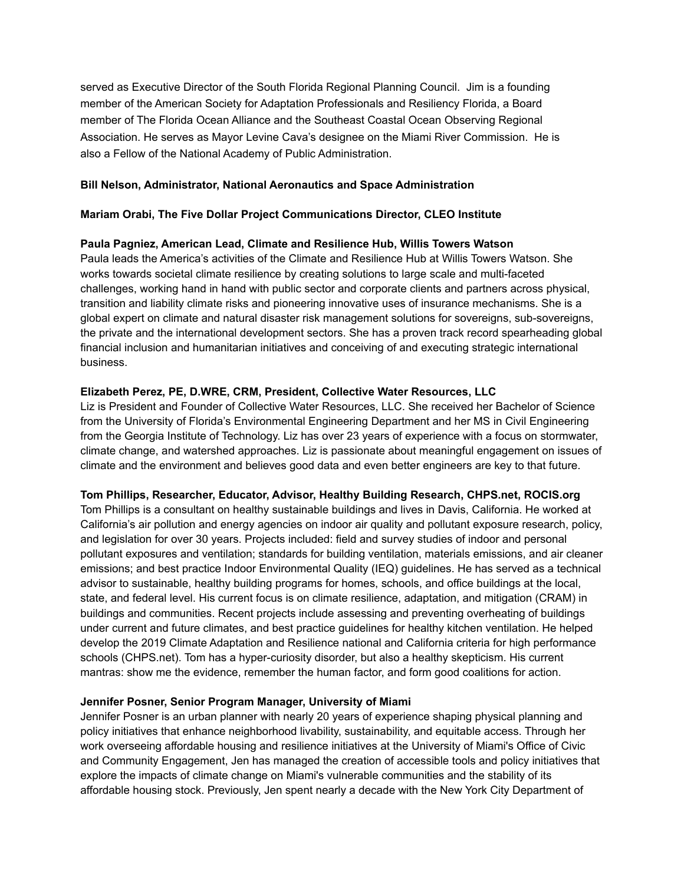served as Executive Director of the South Florida Regional Planning Council. Jim is a founding member of the American Society for Adaptation Professionals and Resiliency Florida, a Board member of The Florida Ocean Alliance and the Southeast Coastal Ocean Observing Regional Association. He serves as Mayor Levine Cava's designee on the Miami River Commission. He is also a Fellow of the National Academy of Public Administration.

### **Bill Nelson, Administrator, National Aeronautics and Space Administration**

#### **Mariam Orabi, The Five Dollar Project Communications Director, CLEO Institute**

#### **Paula Pagniez, American Lead, Climate and Resilience Hub, Willis Towers Watson**

Paula leads the America's activities of the Climate and Resilience Hub at Willis Towers Watson. She works towards societal climate resilience by creating solutions to large scale and multi-faceted challenges, working hand in hand with public sector and corporate clients and partners across physical, transition and liability climate risks and pioneering innovative uses of insurance mechanisms. She is a global expert on climate and natural disaster risk management solutions for sovereigns, sub-sovereigns, the private and the international development sectors. She has a proven track record spearheading global financial inclusion and humanitarian initiatives and conceiving of and executing strategic international business.

### **Elizabeth Perez, PE, D.WRE, CRM, President, Collective Water Resources, LLC**

Liz is President and Founder of Collective Water Resources, LLC. She received her Bachelor of Science from the University of Florida's Environmental Engineering Department and her MS in Civil Engineering from the Georgia Institute of Technology. Liz has over 23 years of experience with a focus on stormwater, climate change, and watershed approaches. Liz is passionate about meaningful engagement on issues of climate and the environment and believes good data and even better engineers are key to that future.

#### **Tom Phillips, Researcher, Educator, Advisor, Healthy Building Research, CHPS.net, ROCIS.org**

Tom Phillips is a consultant on healthy sustainable buildings and lives in Davis, California. He worked at California's air pollution and energy agencies on indoor air quality and pollutant exposure research, policy, and legislation for over 30 years. Projects included: field and survey studies of indoor and personal pollutant exposures and ventilation; standards for building ventilation, materials emissions, and air cleaner emissions; and best practice Indoor Environmental Quality (IEQ) guidelines. He has served as a technical advisor to sustainable, healthy building programs for homes, schools, and office buildings at the local, state, and federal level. His current focus is on climate resilience, adaptation, and mitigation (CRAM) in buildings and communities. Recent projects include assessing and preventing overheating of buildings under current and future climates, and best practice guidelines for healthy kitchen ventilation. He helped develop the 2019 Climate Adaptation and Resilience national and California criteria for high performance schools (CHPS.net). Tom has a hyper-curiosity disorder, but also a healthy skepticism. His current mantras: show me the evidence, remember the human factor, and form good coalitions for action.

#### **Jennifer Posner, Senior Program Manager, University of Miami**

Jennifer Posner is an urban planner with nearly 20 years of experience shaping physical planning and policy initiatives that enhance neighborhood livability, sustainability, and equitable access. Through her work overseeing affordable housing and resilience initiatives at the University of Miami's Office of Civic and Community Engagement, Jen has managed the creation of accessible tools and policy initiatives that explore the impacts of climate change on Miami's vulnerable communities and the stability of its affordable housing stock. Previously, Jen spent nearly a decade with the New York City Department of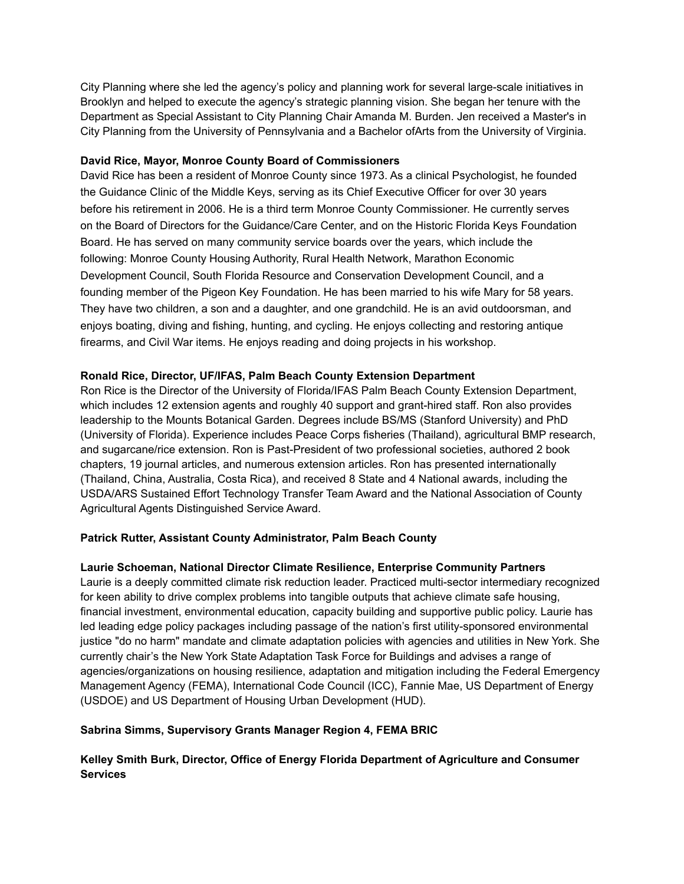City Planning where she led the agency's policy and planning work for several large-scale initiatives in Brooklyn and helped to execute the agency's strategic planning vision. She began her tenure with the Department as Special Assistant to City Planning Chair Amanda M. Burden. Jen received a Master's in City Planning from the University of Pennsylvania and a Bachelor ofArts from the University of Virginia.

## **David Rice, Mayor, Monroe County Board of Commissioners**

David Rice has been a resident of Monroe County since 1973. As a clinical Psychologist, he founded the Guidance Clinic of the Middle Keys, serving as its Chief Executive Officer for over 30 years before his retirement in 2006. He is a third term Monroe County Commissioner. He currently serves on the Board of Directors for the Guidance/Care Center, and on the Historic Florida Keys Foundation Board. He has served on many community service boards over the years, which include the following: Monroe County Housing Authority, Rural Health Network, Marathon Economic Development Council, South Florida Resource and Conservation Development Council, and a founding member of the Pigeon Key Foundation. He has been married to his wife Mary for 58 years. They have two children, a son and a daughter, and one grandchild. He is an avid outdoorsman, and enjoys boating, diving and fishing, hunting, and cycling. He enjoys collecting and restoring antique firearms, and Civil War items. He enjoys reading and doing projects in his workshop.

## **Ronald Rice, Director, UF/IFAS, Palm Beach County Extension Department**

Ron Rice is the Director of the University of Florida/IFAS Palm Beach County Extension Department, which includes 12 extension agents and roughly 40 support and grant-hired staff. Ron also provides leadership to the Mounts Botanical Garden. Degrees include BS/MS (Stanford University) and PhD (University of Florida). Experience includes Peace Corps fisheries (Thailand), agricultural BMP research, and sugarcane/rice extension. Ron is Past-President of two professional societies, authored 2 book chapters, 19 journal articles, and numerous extension articles. Ron has presented internationally (Thailand, China, Australia, Costa Rica), and received 8 State and 4 National awards, including the USDA/ARS Sustained Effort Technology Transfer Team Award and the National Association of County Agricultural Agents Distinguished Service Award.

## **Patrick Rutter, Assistant County Administrator, Palm Beach County**

## **Laurie Schoeman, National Director Climate Resilience, Enterprise Community Partners**

Laurie is a deeply committed climate risk reduction leader. Practiced multi-sector intermediary recognized for keen ability to drive complex problems into tangible outputs that achieve climate safe housing, financial investment, environmental education, capacity building and supportive public policy. Laurie has led leading edge policy packages including passage of the nation's first utility-sponsored environmental justice "do no harm" mandate and climate adaptation policies with agencies and utilities in New York. She currently chair's the New York State Adaptation Task Force for Buildings and advises a range of agencies/organizations on housing resilience, adaptation and mitigation including the Federal Emergency Management Agency (FEMA), International Code Council (ICC), Fannie Mae, US Department of Energy (USDOE) and US Department of Housing Urban Development (HUD).

## **Sabrina Simms, Supervisory Grants Manager Region 4, FEMA BRIC**

## **Kelley Smith Burk, Director, Office of Energy Florida Department of Agriculture and Consumer Services**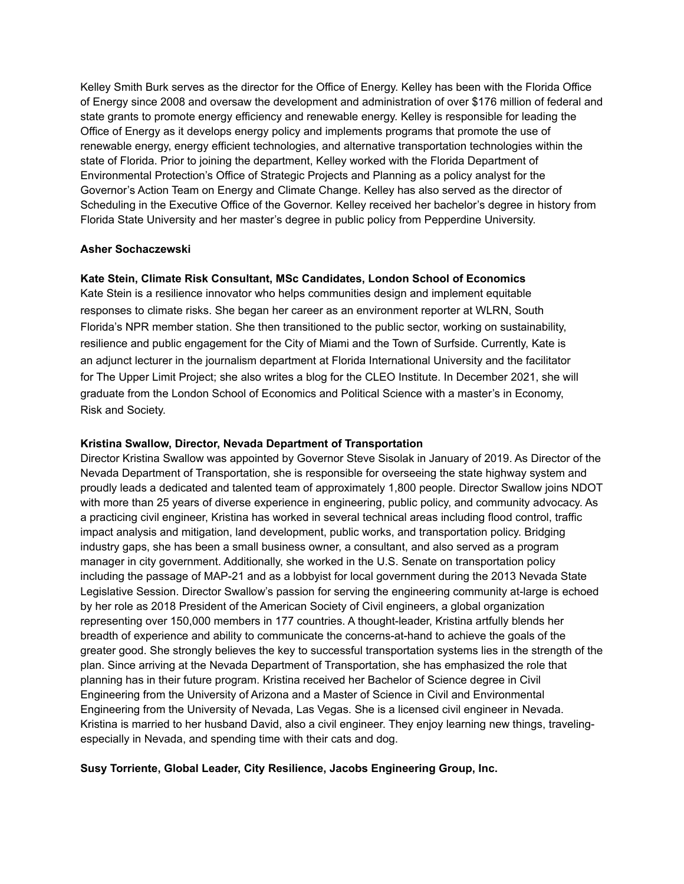Kelley Smith Burk serves as the director for the Office of Energy. Kelley has been with the Florida Office of Energy since 2008 and oversaw the development and administration of over \$176 million of federal and state grants to promote energy efficiency and renewable energy. Kelley is responsible for leading the Office of Energy as it develops energy policy and implements programs that promote the use of renewable energy, energy efficient technologies, and alternative transportation technologies within the state of Florida. Prior to joining the department, Kelley worked with the Florida Department of Environmental Protection's Office of Strategic Projects and Planning as a policy analyst for the Governor's Action Team on Energy and Climate Change. Kelley has also served as the director of Scheduling in the Executive Office of the Governor. Kelley received her bachelor's degree in history from Florida State University and her master's degree in public policy from Pepperdine University.

#### **Asher Sochaczewski**

## **Kate Stein, Climate Risk Consultant, MSc Candidates, London School of Economics**

Kate Stein is a resilience innovator who helps communities design and implement equitable responses to climate risks. She began her career as an environment reporter at WLRN, South Florida's NPR member station. She then transitioned to the public sector, working on sustainability, resilience and public engagement for the City of Miami and the Town of Surfside. Currently, Kate is an adjunct lecturer in the journalism department at Florida International University and the facilitator for The Upper Limit Project; she also writes a blog for the CLEO Institute. In December 2021, she will graduate from the London School of Economics and Political Science with a master's in Economy, Risk and Society.

## **Kristina Swallow, Director, Nevada Department of Transportation**

Director Kristina Swallow was appointed by Governor Steve Sisolak in January of 2019. As Director of the Nevada Department of Transportation, she is responsible for overseeing the state highway system and proudly leads a dedicated and talented team of approximately 1,800 people. Director Swallow joins NDOT with more than 25 years of diverse experience in engineering, public policy, and community advocacy. As a practicing civil engineer, Kristina has worked in several technical areas including flood control, traffic impact analysis and mitigation, land development, public works, and transportation policy. Bridging industry gaps, she has been a small business owner, a consultant, and also served as a program manager in city government. Additionally, she worked in the U.S. Senate on transportation policy including the passage of MAP-21 and as a lobbyist for local government during the 2013 Nevada State Legislative Session. Director Swallow's passion for serving the engineering community at-large is echoed by her role as 2018 President of the American Society of Civil engineers, a global organization representing over 150,000 members in 177 countries. A thought-leader, Kristina artfully blends her breadth of experience and ability to communicate the concerns-at-hand to achieve the goals of the greater good. She strongly believes the key to successful transportation systems lies in the strength of the plan. Since arriving at the Nevada Department of Transportation, she has emphasized the role that planning has in their future program. Kristina received her Bachelor of Science degree in Civil Engineering from the University of Arizona and a Master of Science in Civil and Environmental Engineering from the University of Nevada, Las Vegas. She is a licensed civil engineer in Nevada. Kristina is married to her husband David, also a civil engineer. They enjoy learning new things, travelingespecially in Nevada, and spending time with their cats and dog.

## **Susy Torriente, Global Leader, City Resilience, Jacobs Engineering Group, Inc.**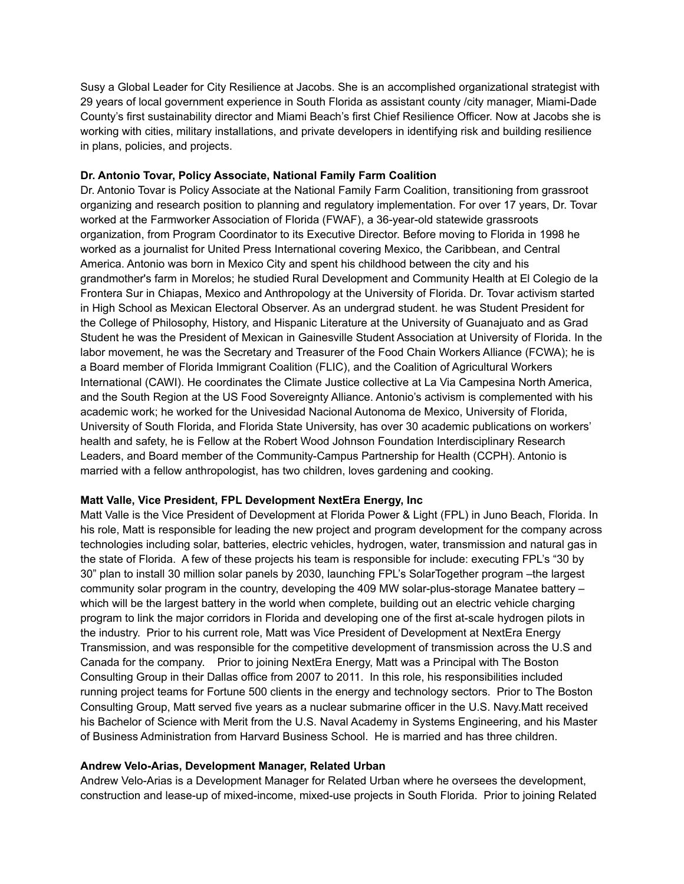Susy a Global Leader for City Resilience at Jacobs. She is an accomplished organizational strategist with 29 years of local government experience in South Florida as assistant county /city manager, Miami-Dade County's first sustainability director and Miami Beach's first Chief Resilience Officer. Now at Jacobs she is working with cities, military installations, and private developers in identifying risk and building resilience in plans, policies, and projects.

## **Dr. Antonio Tovar, Policy Associate, National Family Farm Coalition**

Dr. Antonio Tovar is Policy Associate at the National Family Farm Coalition, transitioning from grassroot organizing and research position to planning and regulatory implementation. For over 17 years, Dr. Tovar worked at the Farmworker Association of Florida (FWAF), a 36-year-old statewide grassroots organization, from Program Coordinator to its Executive Director. Before moving to Florida in 1998 he worked as a journalist for United Press International covering Mexico, the Caribbean, and Central America. Antonio was born in Mexico City and spent his childhood between the city and his grandmother's farm in Morelos; he studied Rural Development and Community Health at El Colegio de la Frontera Sur in Chiapas, Mexico and Anthropology at the University of Florida. Dr. Tovar activism started in High School as Mexican Electoral Observer. As an undergrad student. he was Student President for the College of Philosophy, History, and Hispanic Literature at the University of Guanajuato and as Grad Student he was the President of Mexican in Gainesville Student Association at University of Florida. In the labor movement, he was the Secretary and Treasurer of the Food Chain Workers Alliance (FCWA); he is a Board member of Florida Immigrant Coalition (FLIC), and the Coalition of Agricultural Workers International (CAWI). He coordinates the Climate Justice collective at La Via Campesina North America, and the South Region at the US Food Sovereignty Alliance. Antonio's activism is complemented with his academic work; he worked for the Univesidad Nacional Autonoma de Mexico, University of Florida, University of South Florida, and Florida State University, has over 30 academic publications on workers' health and safety, he is Fellow at the Robert Wood Johnson Foundation Interdisciplinary Research Leaders, and Board member of the Community-Campus Partnership for Health (CCPH). Antonio is married with a fellow anthropologist, has two children, loves gardening and cooking.

## **Matt Valle, Vice President, FPL Development NextEra Energy, Inc**

Matt Valle is the Vice President of Development at Florida Power & Light (FPL) in Juno Beach, Florida. In his role, Matt is responsible for leading the new project and program development for the company across technologies including solar, batteries, electric vehicles, hydrogen, water, transmission and natural gas in the state of Florida. A few of these projects his team is responsible for include: executing FPL's "30 by 30" plan to install 30 million solar panels by 2030, launching FPL's SolarTogether program –the largest community solar program in the country, developing the 409 MW solar-plus-storage Manatee battery – which will be the largest battery in the world when complete, building out an electric vehicle charging program to link the major corridors in Florida and developing one of the first at-scale hydrogen pilots in the industry. Prior to his current role, Matt was Vice President of Development at NextEra Energy Transmission, and was responsible for the competitive development of transmission across the U.S and Canada for the company. Prior to joining NextEra Energy, Matt was a Principal with The Boston Consulting Group in their Dallas office from 2007 to 2011. In this role, his responsibilities included running project teams for Fortune 500 clients in the energy and technology sectors. Prior to The Boston Consulting Group, Matt served five years as a nuclear submarine officer in the U.S. Navy.Matt received his Bachelor of Science with Merit from the U.S. Naval Academy in Systems Engineering, and his Master of Business Administration from Harvard Business School. He is married and has three children.

## **Andrew Velo-Arias, Development Manager, Related Urban**

Andrew Velo-Arias is a Development Manager for Related Urban where he oversees the development, construction and lease-up of mixed-income, mixed-use projects in South Florida. Prior to joining Related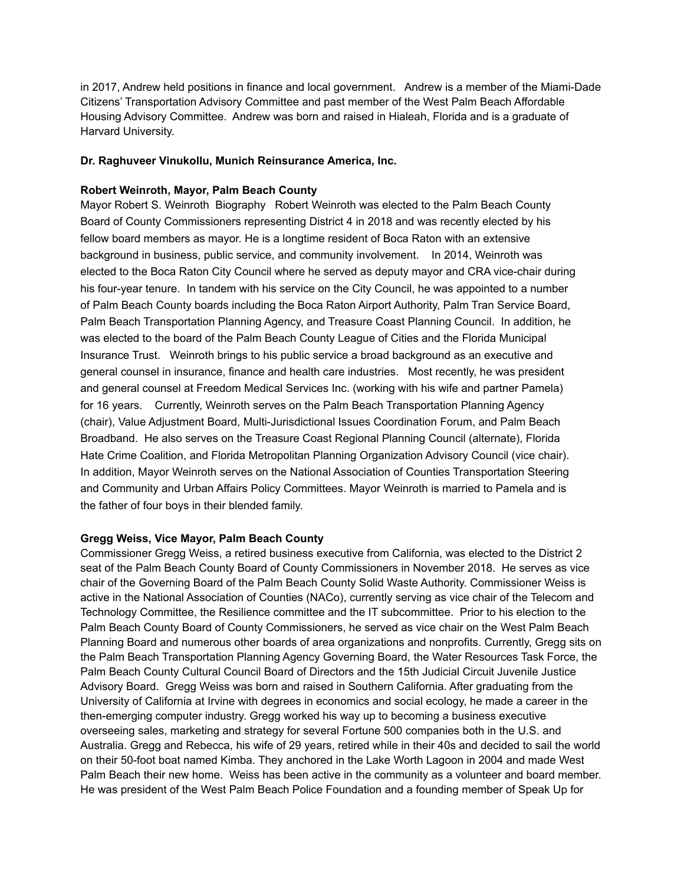in 2017, Andrew held positions in finance and local government. Andrew is a member of the Miami-Dade Citizens' Transportation Advisory Committee and past member of the West Palm Beach Affordable Housing Advisory Committee. Andrew was born and raised in Hialeah, Florida and is a graduate of Harvard University.

### **Dr. Raghuveer Vinukollu, Munich Reinsurance America, Inc.**

## **Robert Weinroth, Mayor, Palm Beach County**

Mayor Robert S. Weinroth Biography Robert Weinroth was elected to the Palm Beach County Board of County Commissioners representing District 4 in 2018 and was recently elected by his fellow board members as mayor. He is a longtime resident of Boca Raton with an extensive background in business, public service, and community involvement. In 2014, Weinroth was elected to the Boca Raton City Council where he served as deputy mayor and CRA vice-chair during his four-year tenure. In tandem with his service on the City Council, he was appointed to a number of Palm Beach County boards including the Boca Raton Airport Authority, Palm Tran Service Board, Palm Beach Transportation Planning Agency, and Treasure Coast Planning Council. In addition, he was elected to the board of the Palm Beach County League of Cities and the Florida Municipal Insurance Trust. Weinroth brings to his public service a broad background as an executive and general counsel in insurance, finance and health care industries. Most recently, he was president and general counsel at Freedom Medical Services Inc. (working with his wife and partner Pamela) for 16 years. Currently, Weinroth serves on the Palm Beach Transportation Planning Agency (chair), Value Adjustment Board, Multi-Jurisdictional Issues Coordination Forum, and Palm Beach Broadband. He also serves on the Treasure Coast Regional Planning Council (alternate), Florida Hate Crime Coalition, and Florida Metropolitan Planning Organization Advisory Council (vice chair). In addition, Mayor Weinroth serves on the National Association of Counties Transportation Steering and Community and Urban Affairs Policy Committees. Mayor Weinroth is married to Pamela and is the father of four boys in their blended family.

## **Gregg Weiss, Vice Mayor, Palm Beach County**

Commissioner Gregg Weiss, a retired business executive from California, was elected to the District 2 seat of the Palm Beach County Board of County Commissioners in November 2018. He serves as vice chair of the Governing Board of the Palm Beach County Solid Waste Authority. Commissioner Weiss is active in the National Association of Counties (NACo), currently serving as vice chair of the Telecom and Technology Committee, the Resilience committee and the IT subcommittee. Prior to his election to the Palm Beach County Board of County Commissioners, he served as vice chair on the West Palm Beach Planning Board and numerous other boards of area organizations and nonprofits. Currently, Gregg sits on the Palm Beach Transportation Planning Agency Governing Board, the Water Resources Task Force, the Palm Beach County Cultural Council Board of Directors and the 15th Judicial Circuit Juvenile Justice Advisory Board. Gregg Weiss was born and raised in Southern California. After graduating from the University of California at Irvine with degrees in economics and social ecology, he made a career in the then-emerging computer industry. Gregg worked his way up to becoming a business executive overseeing sales, marketing and strategy for several Fortune 500 companies both in the U.S. and Australia. Gregg and Rebecca, his wife of 29 years, retired while in their 40s and decided to sail the world on their 50-foot boat named Kimba. They anchored in the Lake Worth Lagoon in 2004 and made West Palm Beach their new home. Weiss has been active in the community as a volunteer and board member. He was president of the West Palm Beach Police Foundation and a founding member of Speak Up for